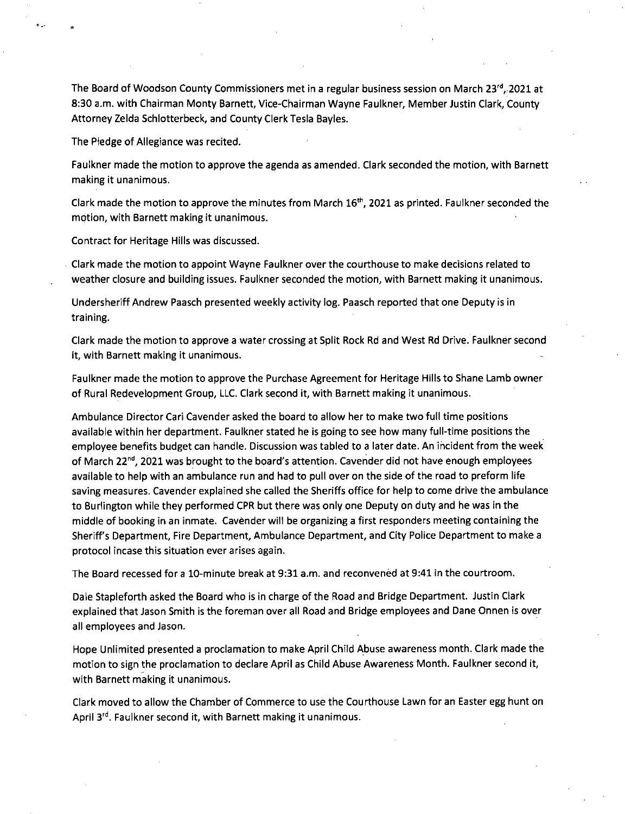The Board of Woodson County Commissioners met in a regular business session on March 23<sup>rd</sup>, 2021 at 8:30 a.m. with Chairman Monty Barnett, Vice-Chairman Wayne Faulkner, Member Justin Clark, County Attorney Zelda Schlotterbeck, and County Clerk Tesla Bayles.

The Piedge of Allegiance was recited.

Faulkner made the motion to approve the agenda as amended. Clark seconded the motion, with Barnett making it unanimous.

Clark made the motion to approve the minutes from March  $16<sup>th</sup>$ , 2021 as printed. Faulkner seconded the motion, with Barnett making it unanimous.

Contract for Heritage Hills was discussed.

Clark made the motion to appoint Wayne Faulkner over the courthouse to make decisions related to weather closure and building issues. Faulkner seconded the motion, with Barnett making it unanimous.

Undersheriff Andrew Paasch presented weekly activity log. Paasch reported that one Deputy is in training.

Clark made the motion to approve a water crossing at Split Rock Rd and West Rd Drive. Faulkner second it, with Barnett making it unanimous.

Faulkner made the motion to approve the Purchase Agreement for Heritage Hills to Shane Lamb owner of Rural Redevelopment Group, LLC. Clark second it, with Barnett making it unanimous.

Ambulance Director Cari Cavender asked the board to allow her to make two full time positions available within her department. Faulkner stated he is going to see how many full-time positions the employee benefits budget can handle. Discussion was tabled to a later date. An incident from the week of March 22<sup>nd</sup>, 2021 was brought to the board's attention. Cavender did not have enough employees available to help with an ambulance run and had to pull over on the side of the road to preform life saving measures. Cavender explained she called the Sheriffs office for help to come drive the ambulance to Burlington while they performed CPR but there was only one Deputy on duty and he was in the middle of booking in an inmate. Cavender will be organizing a first responders meeting containing the Sheriff's Department, Fire Department, Ambulance Department, and City Police Department to make a protocol incase this situation ever arises again.

The Board recessed for a 10-minute break at 9:31 a.m. and reconvened at 9:41 in the courtroom.

Dale Stapleforth asked the Board who is in charge of the Road and Bridge Department. Justin Clark explained that Jason Smith is the foreman over all Road and Bridge employees and Dane Onnen is over all employees and Jason.

Hope Unlimited presented a proclamation to make April Child Abuse awareness month. Clark made the motion to sign the proclamation to declare April as Child Abuse Awareness Month. Faulkner second it, with Barnett making it unanimous.

Clark moved to allow the Chamber of Commerce to use the Courthouse Lawn for an Easter egg hunt on April 3<sup>rd</sup>. Faulkner second it, with Barnett making it unanimous.